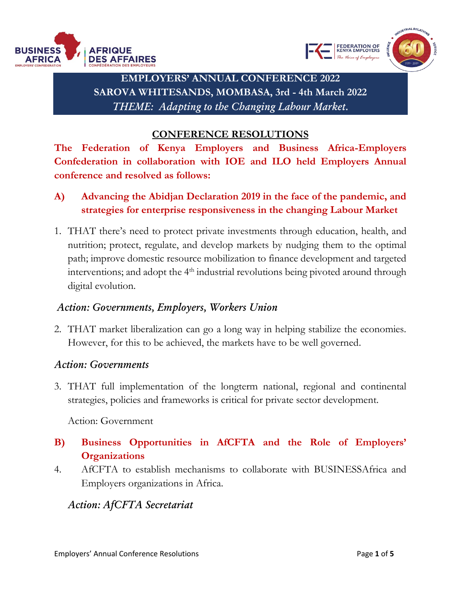



**EMPLOYERS' ANNUAL CONFERENCE 2022 SAROVA WHITESANDS, MOMBASA, 3rd - 4th March 2022** *THEME: Adapting to the Changing Labour Market.*

### **CONFERENCE RESOLUTIONS**

**The Federation of Kenya Employers and Business Africa-Employers Confederation in collaboration with IOE and ILO held Employers Annual conference and resolved as follows:**

- **A) Advancing the Abidjan Declaration 2019 in the face of the pandemic, and strategies for enterprise responsiveness in the changing Labour Market**
- 1. THAT there's need to protect private investments through education, health, and nutrition; protect, regulate, and develop markets by nudging them to the optimal path; improve domestic resource mobilization to finance development and targeted interventions; and adopt the  $4<sup>th</sup>$  industrial revolutions being pivoted around through digital evolution.

# *Action: Governments, Employers, Workers Union*

2. THAT market liberalization can go a long way in helping stabilize the economies. However, for this to be achieved, the markets have to be well governed.

#### *Action: Governments*

3. THAT full implementation of the longterm national, regional and continental strategies, policies and frameworks is critical for private sector development.

Action: Government

# **B) Business Opportunities in AfCFTA and the Role of Employers' Organizations**

4. AfCFTA to establish mechanisms to collaborate with BUSINESSAfrica and Employers organizations in Africa.

# *Action: AfCFTA Secretariat*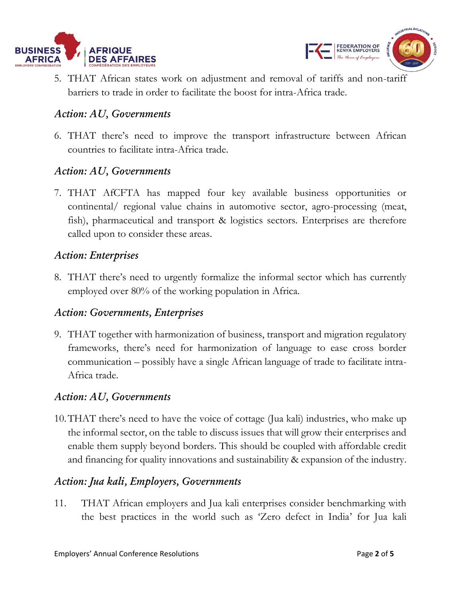



5. THAT African states work on adjustment and removal of tariffs and non-tariff barriers to trade in order to facilitate the boost for intra-Africa trade.

# *Action: AU, Governments*

6. THAT there's need to improve the transport infrastructure between African countries to facilitate intra-Africa trade.

# *Action: AU, Governments*

7. THAT AfCFTA has mapped four key available business opportunities or continental/ regional value chains in automotive sector, agro-processing (meat, fish), pharmaceutical and transport & logistics sectors. Enterprises are therefore called upon to consider these areas.

## *Action: Enterprises*

8. THAT there's need to urgently formalize the informal sector which has currently employed over 80% of the working population in Africa.

#### *Action: Governments, Enterprises*

9. THAT together with harmonization of business, transport and migration regulatory frameworks, there's need for harmonization of language to ease cross border communication – possibly have a single African language of trade to facilitate intra-Africa trade.

## *Action: AU, Governments*

10.THAT there's need to have the voice of cottage (Jua kali) industries, who make up the informal sector, on the table to discuss issues that will grow their enterprises and enable them supply beyond borders. This should be coupled with affordable credit and financing for quality innovations and sustainability & expansion of the industry.

## *Action: Jua kali, Employers, Governments*

11. THAT African employers and Jua kali enterprises consider benchmarking with the best practices in the world such as 'Zero defect in India' for Jua kali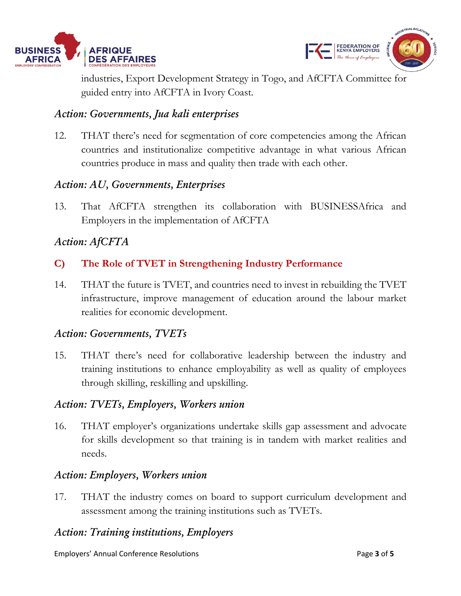



industries, Export Development Strategy in Togo, and AfCFTA Committee for guided entry into AfCFTA in Ivory Coast.

# *Action: Governments, Jua kali enterprises*

12. THAT there's need for segmentation of core competencies among the African countries and institutionalize competitive advantage in what various African countries produce in mass and quality then trade with each other.

# *Action: AU, Governments, Enterprises*

13. That AfCFTA strengthen its collaboration with BUSINESSAfrica and Employers in the implementation of AfCFTA

# *Action: AfCFTA*

- **C) The Role of TVET in Strengthening Industry Performance**
- 14. THAT the future is TVET, and countries need to invest in rebuilding the TVET infrastructure, improve management of education around the labour market realities for economic development.

#### *Action: Governments, TVETs*

15. THAT there's need for collaborative leadership between the industry and training institutions to enhance employability as well as quality of employees through skilling, reskilling and upskilling.

#### *Action: TVETs, Employers, Workers union*

16. THAT employer's organizations undertake skills gap assessment and advocate for skills development so that training is in tandem with market realities and needs.

#### *Action: Employers, Workers union*

17. THAT the industry comes on board to support curriculum development and assessment among the training institutions such as TVETs.

## *Action: Training institutions, Employers*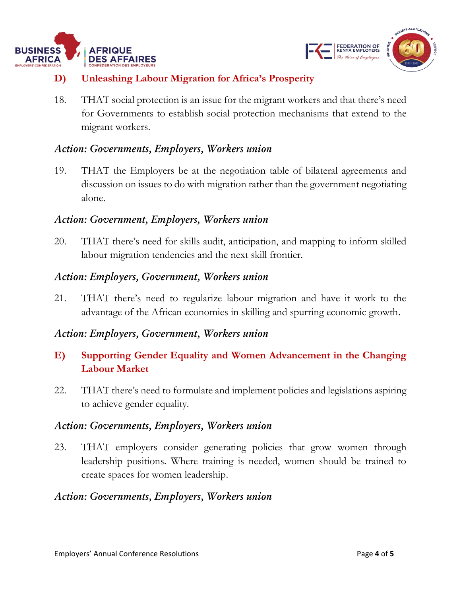



# **D) Unleashing Labour Migration for Africa's Prosperity**

18. THAT social protection is an issue for the migrant workers and that there's need for Governments to establish social protection mechanisms that extend to the migrant workers.

# *Action: Governments, Employers, Workers union*

19. THAT the Employers be at the negotiation table of bilateral agreements and discussion on issues to do with migration rather than the government negotiating alone.

# *Action: Government, Employers, Workers union*

20. THAT there's need for skills audit, anticipation, and mapping to inform skilled labour migration tendencies and the next skill frontier.

## *Action: Employers, Government, Workers union*

21. THAT there's need to regularize labour migration and have it work to the advantage of the African economies in skilling and spurring economic growth.

## *Action: Employers, Government, Workers union*

# **E) Supporting Gender Equality and Women Advancement in the Changing Labour Market**

22. THAT there's need to formulate and implement policies and legislations aspiring to achieve gender equality.

## *Action: Governments, Employers, Workers union*

23. THAT employers consider generating policies that grow women through leadership positions. Where training is needed, women should be trained to create spaces for women leadership.

## *Action: Governments, Employers, Workers union*